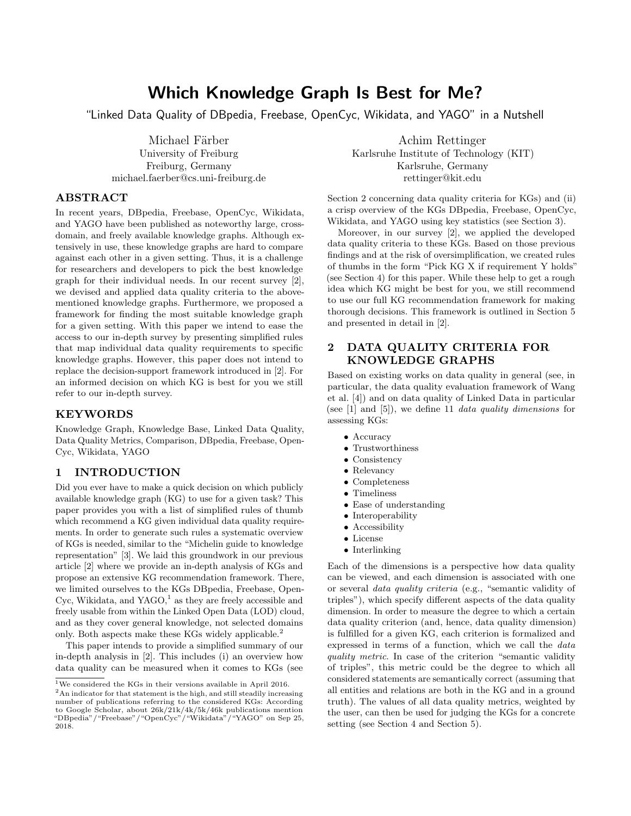# Which Knowledge Graph Is Best for Me?

"Linked Data Quality of DBpedia, Freebase, OpenCyc, Wikidata, and YAGO" in a Nutshell

Michael Färber University of Freiburg Freiburg, Germany michael.faerber@cs.uni-freiburg.de

# ABSTRACT

In recent years, DBpedia, Freebase, OpenCyc, Wikidata, and YAGO have been published as noteworthy large, crossdomain, and freely available knowledge graphs. Although extensively in use, these knowledge graphs are hard to compare against each other in a given setting. Thus, it is a challenge for researchers and developers to pick the best knowledge graph for their individual needs. In our recent survey [\[2\]](#page-3-0), we devised and applied data quality criteria to the abovementioned knowledge graphs. Furthermore, we proposed a framework for finding the most suitable knowledge graph for a given setting. With this paper we intend to ease the access to our in-depth survey by presenting simplified rules that map individual data quality requirements to specific knowledge graphs. However, this paper does not intend to replace the decision-support framework introduced in [\[2\]](#page-3-0). For an informed decision on which KG is best for you we still refer to our in-depth survey.

# KEYWORDS

Knowledge Graph, Knowledge Base, Linked Data Quality, Data Quality Metrics, Comparison, DBpedia, Freebase, Open-Cyc, Wikidata, YAGO

# 1 INTRODUCTION

Did you ever have to make a quick decision on which publicly available knowledge graph (KG) to use for a given task? This paper provides you with a list of simplified rules of thumb which recommend a KG given individual data quality requirements. In order to generate such rules a systematic overview of KGs is needed, similar to the "Michelin guide to knowledge representation" [\[3\]](#page-3-1). We laid this groundwork in our previous article [\[2\]](#page-3-0) where we provide an in-depth analysis of KGs and propose an extensive KG recommendation framework. There, we limited ourselves to the KGs DBpedia, Freebase, Open-Cyc, Wikidata, and YAGO, $<sup>1</sup>$  as they are freely accessible and</sup> freely usable from within the Linked Open Data (LOD) cloud, and as they cover general knowledge, not selected domains only. Both aspects make these KGs widely applicable.<sup>2</sup>

This paper intends to provide a simplified summary of our in-depth analysis in [\[2\]](#page-3-0). This includes (i) an overview how data quality can be measured when it comes to KGs (see

Achim Rettinger Karlsruhe Institute of Technology (KIT) Karlsruhe, Germany rettinger@kit.edu

Section [2](#page-0-0) concerning data quality criteria for KGs) and (ii) a crisp overview of the KGs DBpedia, Freebase, OpenCyc, Wikidata, and YAGO using key statistics (see Section [3\)](#page-1-0).

Moreover, in our survey [\[2\]](#page-3-0), we applied the developed data quality criteria to these KGs. Based on those previous findings and at the risk of oversimplification, we created rules of thumbs in the form "Pick KG X if requirement Y holds" (see Section [4\)](#page-1-1) for this paper. While these help to get a rough idea which KG might be best for you, we still recommend to use our full KG recommendation framework for making thorough decisions. This framework is outlined in Section [5](#page-2-0) and presented in detail in [\[2\]](#page-3-0).

# <span id="page-0-0"></span>2 DATA QUALITY CRITERIA FOR KNOWLEDGE GRAPHS

Based on existing works on data quality in general (see, in particular, the data quality evaluation framework of Wang et al. [\[4\]](#page-3-2)) and on data quality of Linked Data in particular (see  $[1]$  and  $[5]$ ), we define 11 *data quality dimensions* for assessing KGs:

- Accuracy
- Trustworthiness
- Consistency
- Relevancy
- Completeness
- Timeliness
- Ease of understanding
- Interoperability
- Accessibility
- License
- Interlinking

Each of the dimensions is a perspective how data quality can be viewed, and each dimension is associated with one or several data quality criteria (e.g., "semantic validity of triples"), which specify different aspects of the data quality dimension. In order to measure the degree to which a certain data quality criterion (and, hence, data quality dimension) is fulfilled for a given KG, each criterion is formalized and expressed in terms of a function, which we call the data quality metric. In case of the criterion "semantic validity" of triples", this metric could be the degree to which all considered statements are semantically correct (assuming that all entities and relations are both in the KG and in a ground truth). The values of all data quality metrics, weighted by the user, can then be used for judging the KGs for a concrete setting (see Section [4](#page-1-1) and Section [5\)](#page-2-0).

 $^1\rm{We}$  considered the KGs in their versions available in April 2016.

<sup>&</sup>lt;sup>2</sup>An indicator for that statement is the high, and still steadily increasing number of publications referring to the considered KGs: According to Google Scholar, about 26k/21k/4k/5k/46k publications mention "DBpedia"/"Freebase"/"OpenCyc"/"Wikidata"/"YAGO" on Sep 25, 2018.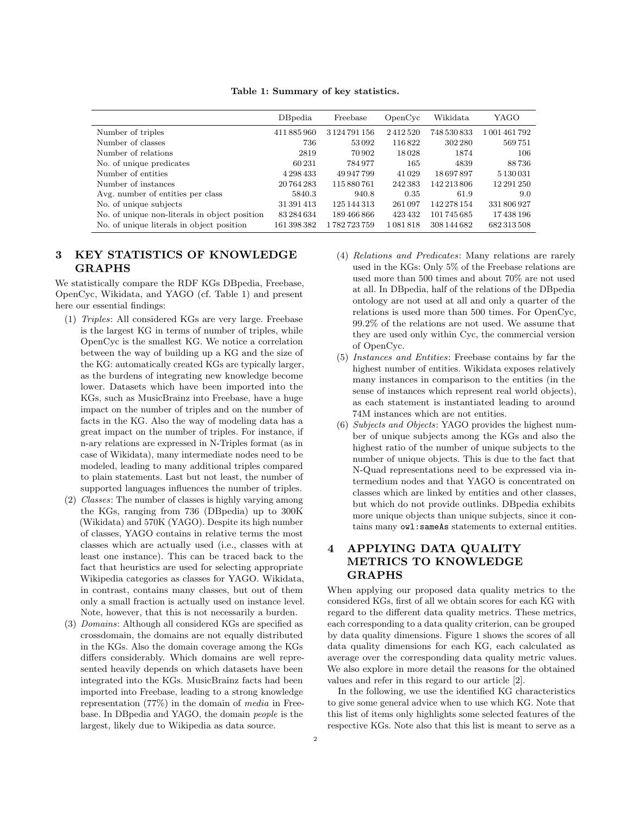|  |  | Table 1: Summary of key statistics. |  |  |
|--|--|-------------------------------------|--|--|
|--|--|-------------------------------------|--|--|

<span id="page-1-2"></span>

|                                               | DBpedia     | Freebase          | OpenCyc | Wikidata    | YAGO          |
|-----------------------------------------------|-------------|-------------------|---------|-------------|---------------|
| Number of triples                             | 411 885 960 | 3 1 24 79 1 1 5 6 | 2412520 | 748 530 833 | 1 001 461 792 |
| Number of classes                             | 736         | 53092             | 116822  | 302 280     | 569751        |
| Number of relations                           | 2819        | 70 902            | 18028   | 1874        | 106           |
| No. of unique predicates                      | 60231       | 784977            | 165     | 4839        | 88736         |
| Number of entities                            | 4 298 433   | 49 947 799        | 41 0 29 | 18697897    | 5 130 031     |
| Number of instances                           | 20764283    | 115 880 761       | 242383  | 142 213 806 | 12 291 250    |
| Avg. number of entities per class             | 5840.3      | 940.8             | 0.35    | 61.9        | 9.0           |
| No. of unique subjects                        | 31 391 413  | 125 144 313       | 261 097 | 142 278 154 | 331 806 927   |
| No. of unique non-literals in object position | 83 284 634  | 189466866         | 423432  | 101 745 685 | 17438196      |
| No. of unique literals in object position     | 161 398 382 | 1782723759        | 1081818 | 308 144 682 | 682 313 508   |

# <span id="page-1-0"></span>3 KEY STATISTICS OF KNOWLEDGE GRAPHS

We statistically compare the RDF KGs DBpedia, Freebase, OpenCyc, Wikidata, and YAGO (cf. Table [1\)](#page-1-2) and present here our essential findings:

- (1) Triples: All considered KGs are very large. Freebase is the largest KG in terms of number of triples, while OpenCyc is the smallest KG. We notice a correlation between the way of building up a KG and the size of the KG: automatically created KGs are typically larger, as the burdens of integrating new knowledge become lower. Datasets which have been imported into the KGs, such as MusicBrainz into Freebase, have a huge impact on the number of triples and on the number of facts in the KG. Also the way of modeling data has a great impact on the number of triples. For instance, if n-ary relations are expressed in N-Triples format (as in case of Wikidata), many intermediate nodes need to be modeled, leading to many additional triples compared to plain statements. Last but not least, the number of supported languages influences the number of triples.
- (2) Classes: The number of classes is highly varying among the KGs, ranging from 736 (DBpedia) up to 300K (Wikidata) and 570K (YAGO). Despite its high number of classes, YAGO contains in relative terms the most classes which are actually used (i.e., classes with at least one instance). This can be traced back to the fact that heuristics are used for selecting appropriate Wikipedia categories as classes for YAGO. Wikidata, in contrast, contains many classes, but out of them only a small fraction is actually used on instance level. Note, however, that this is not necessarily a burden.
- (3) Domains: Although all considered KGs are specified as crossdomain, the domains are not equally distributed in the KGs. Also the domain coverage among the KGs differs considerably. Which domains are well represented heavily depends on which datasets have been integrated into the KGs. MusicBrainz facts had been imported into Freebase, leading to a strong knowledge representation (77%) in the domain of media in Freebase. In DBpedia and YAGO, the domain people is the largest, likely due to Wikipedia as data source.
- (4) Relations and Predicates: Many relations are rarely used in the KGs: Only 5% of the Freebase relations are used more than 500 times and about 70% are not used at all. In DBpedia, half of the relations of the DBpedia ontology are not used at all and only a quarter of the relations is used more than 500 times. For OpenCyc, 99.2% of the relations are not used. We assume that they are used only within Cyc, the commercial version of OpenCyc.
- (5) Instances and Entities: Freebase contains by far the highest number of entities. Wikidata exposes relatively many instances in comparison to the entities (in the sense of instances which represent real world objects), as each statement is instantiated leading to around 74M instances which are not entities.
- (6) Subjects and Objects: YAGO provides the highest number of unique subjects among the KGs and also the highest ratio of the number of unique subjects to the number of unique objects. This is due to the fact that N-Quad representations need to be expressed via intermedium nodes and that YAGO is concentrated on classes which are linked by entities and other classes, but which do not provide outlinks. DBpedia exhibits more unique objects than unique subjects, since it contains many owl:sameAs statements to external entities.

# <span id="page-1-1"></span>4 APPLYING DATA QUALITY METRICS TO KNOWLEDGE GRAPHS

When applying our proposed data quality metrics to the considered KGs, first of all we obtain scores for each KG with regard to the different data quality metrics. These metrics, each corresponding to a data quality criterion, can be grouped by data quality dimensions. Figure [1](#page-2-1) shows the scores of all data quality dimensions for each KG, each calculated as average over the corresponding data quality metric values. We also explore in more detail the reasons for the obtained values and refer in this regard to our article [\[2\]](#page-3-0).

In the following, we use the identified KG characteristics to give some general advice when to use which KG. Note that this list of items only highlights some selected features of the respective KGs. Note also that this list is meant to serve as a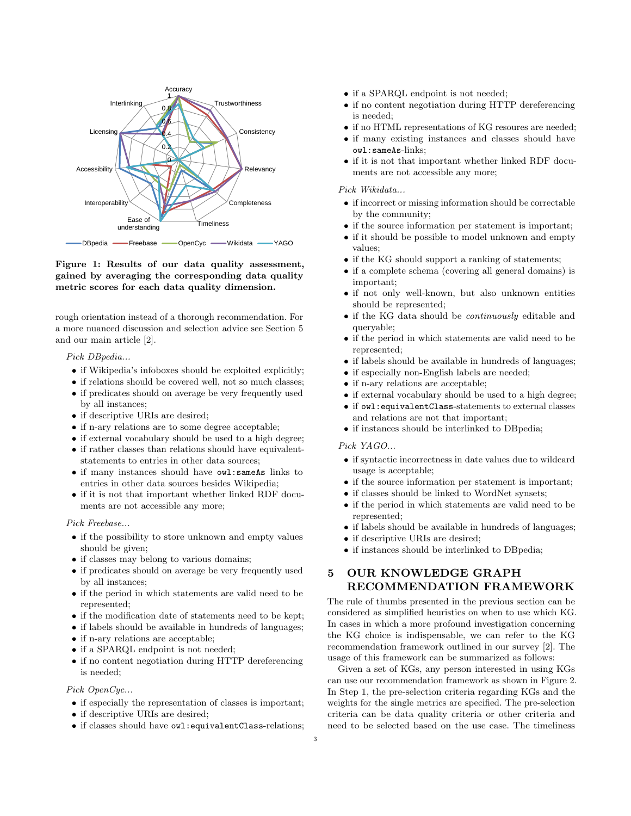<span id="page-2-1"></span>

### Figure 1: Results of our data quality assessment, gained by averaging the corresponding data quality metric scores for each data quality dimension.

rough orientation instead of a thorough recommendation. For a more nuanced discussion and selection advice see Section [5](#page-2-0) and our main article [\[2\]](#page-3-0).

Pick DBpedia...

- if Wikipedia's infoboxes should be exploited explicitly;
- if relations should be covered well, not so much classes;
- if predicates should on average be very frequently used by all instances;
- if descriptive URIs are desired;
- if n-ary relations are to some degree acceptable;
- if external vocabulary should be used to a high degree;
- if rather classes than relations should have equivalentstatements to entries in other data sources;
- if many instances should have owl:sameAs links to entries in other data sources besides Wikipedia;
- if it is not that important whether linked RDF documents are not accessible any more;

#### Pick Freebase...

- if the possibility to store unknown and empty values should be given;
- if classes may belong to various domains;
- if predicates should on average be very frequently used by all instances;
- if the period in which statements are valid need to be represented;
- if the modification date of statements need to be kept;
- if labels should be available in hundreds of languages;
- if n-ary relations are acceptable;
- if a SPARQL endpoint is not needed;
- if no content negotiation during HTTP dereferencing is needed;

### Pick OpenCyc...

- $\bullet$  if especially the representation of classes is important;
- if descriptive URIs are desired;
- if classes should have owl:equivalentClass-relations;
- if a SPARQL endpoint is not needed;
- if no content negotiation during HTTP dereferencing is needed;
- if no HTML representations of KG resoures are needed;
- if many existing instances and classes should have owl:sameAs-links;
- if it is not that important whether linked RDF documents are not accessible any more;

#### Pick Wikidata...

- if incorrect or missing information should be correctable by the community;
- if the source information per statement is important;
- if it should be possible to model unknown and empty values;
- if the KG should support a ranking of statements;
- if a complete schema (covering all general domains) is important;
- if not only well-known, but also unknown entities should be represented;
- if the KG data should be continuously editable and queryable;
- if the period in which statements are valid need to be represented;
- if labels should be available in hundreds of languages;
- if especially non-English labels are needed;
- if n-ary relations are acceptable;
- if external vocabulary should be used to a high degree;
- if owl:equivalentClass-statements to external classes and relations are not that important;
- if instances should be interlinked to DBpedia;

### Pick YAGO...

- if syntactic incorrectness in date values due to wildcard usage is acceptable;
- if the source information per statement is important;
- if classes should be linked to WordNet synsets;
- if the period in which statements are valid need to be represented;
- if labels should be available in hundreds of languages;
- if descriptive URIs are desired;
- if instances should be interlinked to DBpedia;

# <span id="page-2-0"></span>5 OUR KNOWLEDGE GRAPH RECOMMENDATION FRAMEWORK

The rule of thumbs presented in the previous section can be considered as simplified heuristics on when to use which KG. In cases in which a more profound investigation concerning the KG choice is indispensable, we can refer to the KG recommendation framework outlined in our survey [\[2\]](#page-3-0). The usage of this framework can be summarized as follows:

Given a set of KGs, any person interested in using KGs can use our recommendation framework as shown in Figure [2.](#page-3-5) In Step 1, the pre-selection criteria regarding KGs and the weights for the single metrics are specified. The pre-selection criteria can be data quality criteria or other criteria and need to be selected based on the use case. The timeliness